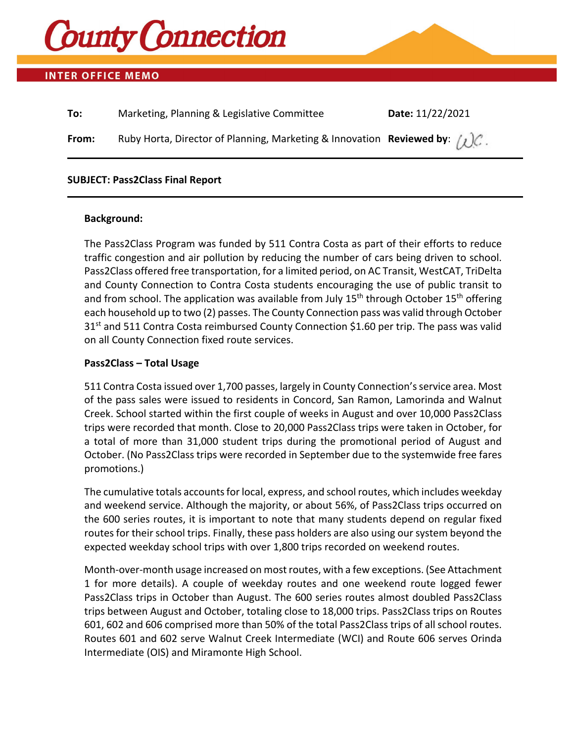

# **INTER OFFICE MEMO**

| To:   | Marketing, Planning & Legislative Committee                                           | Date: 11/22/2021 |
|-------|---------------------------------------------------------------------------------------|------------------|
| From: | Ruby Horta, Director of Planning, Marketing & Innovation Reviewed by: $\bigwedge C$ . |                  |

## **SUBJECT: Pass2Class Final Report**

## **Background:**

The Pass2Class Program was funded by 511 Contra Costa as part of their efforts to reduce traffic congestion and air pollution by reducing the number of cars being driven to school. Pass2Class offered free transportation, for a limited period, on AC Transit, WestCAT, TriDelta and County Connection to Contra Costa students encouraging the use of public transit to and from school. The application was available from July  $15<sup>th</sup>$  through October  $15<sup>th</sup>$  offering each household up to two (2) passes. The County Connection pass was valid through October  $31<sup>st</sup>$  and 511 Contra Costa reimbursed County Connection \$1.60 per trip. The pass was valid on all County Connection fixed route services.

## **Pass2Class – Total Usage**

511 Contra Costa issued over 1,700 passes, largely in County Connection's service area. Most of the pass sales were issued to residents in Concord, San Ramon, Lamorinda and Walnut Creek. School started within the first couple of weeks in August and over 10,000 Pass2Class trips were recorded that month. Close to 20,000 Pass2Class trips were taken in October, for a total of more than 31,000 student trips during the promotional period of August and October. (No Pass2Class trips were recorded in September due to the systemwide free fares promotions.)

The cumulative totals accounts for local, express, and school routes, which includes weekday and weekend service. Although the majority, or about 56%, of Pass2Class trips occurred on the 600 series routes, it is important to note that many students depend on regular fixed routes for their school trips. Finally, these pass holders are also using our system beyond the expected weekday school trips with over 1,800 trips recorded on weekend routes.

Month-over-month usage increased on most routes, with a few exceptions. (See Attachment 1 for more details). A couple of weekday routes and one weekend route logged fewer Pass2Class trips in October than August. The 600 series routes almost doubled Pass2Class trips between August and October, totaling close to 18,000 trips. Pass2Class trips on Routes 601, 602 and 606 comprised more than 50% of the total Pass2Class trips of all school routes. Routes 601 and 602 serve Walnut Creek Intermediate (WCI) and Route 606 serves Orinda Intermediate (OIS) and Miramonte High School.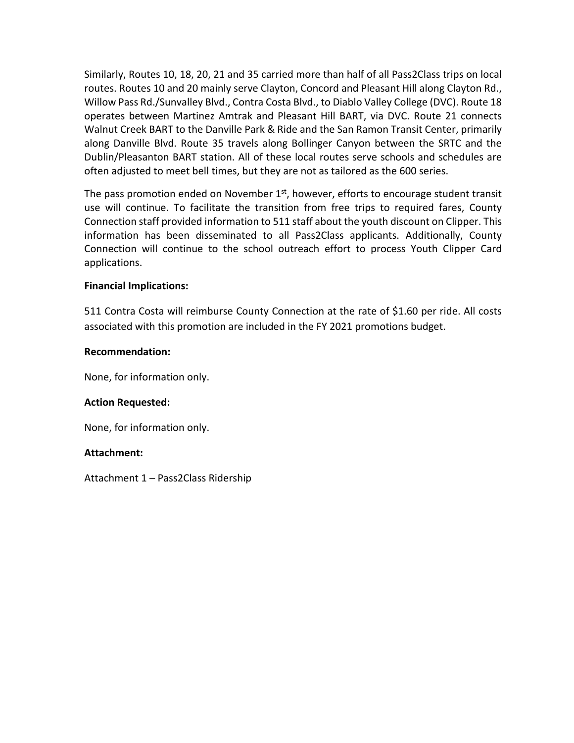Similarly, Routes 10, 18, 20, 21 and 35 carried more than half of all Pass2Class trips on local routes. Routes 10 and 20 mainly serve Clayton, Concord and Pleasant Hill along Clayton Rd., Willow Pass Rd./Sunvalley Blvd., Contra Costa Blvd., to Diablo Valley College (DVC). Route 18 operates between Martinez Amtrak and Pleasant Hill BART, via DVC. Route 21 connects Walnut Creek BART to the Danville Park & Ride and the San Ramon Transit Center, primarily along Danville Blvd. Route 35 travels along Bollinger Canyon between the SRTC and the Dublin/Pleasanton BART station. All of these local routes serve schools and schedules are often adjusted to meet bell times, but they are not as tailored as the 600 series.

The pass promotion ended on November  $1<sup>st</sup>$ , however, efforts to encourage student transit use will continue. To facilitate the transition from free trips to required fares, County Connection staff provided information to 511 staff about the youth discount on Clipper. This information has been disseminated to all Pass2Class applicants. Additionally, County Connection will continue to the school outreach effort to process Youth Clipper Card applications.

# **Financial Implications:**

511 Contra Costa will reimburse County Connection at the rate of \$1.60 per ride. All costs associated with this promotion are included in the FY 2021 promotions budget.

### **Recommendation:**

None, for information only.

### **Action Requested:**

None, for information only.

### **Attachment:**

Attachment 1 – Pass2Class Ridership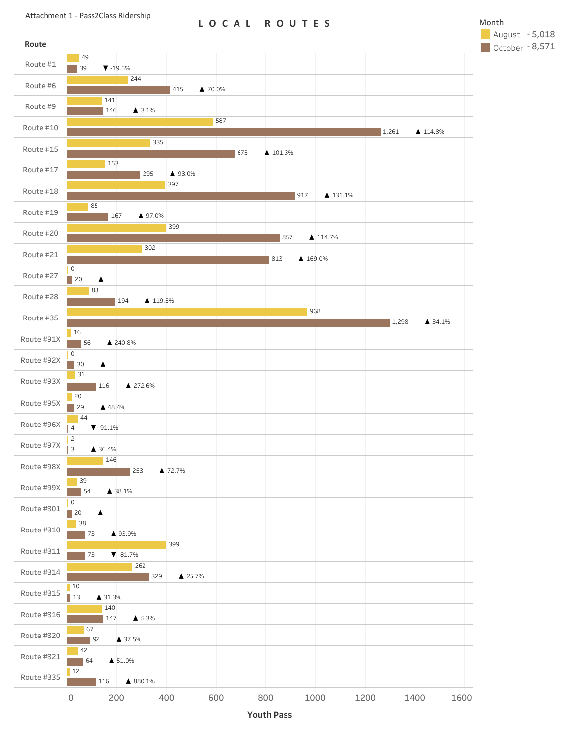## **LOCAL ROUTES** Month